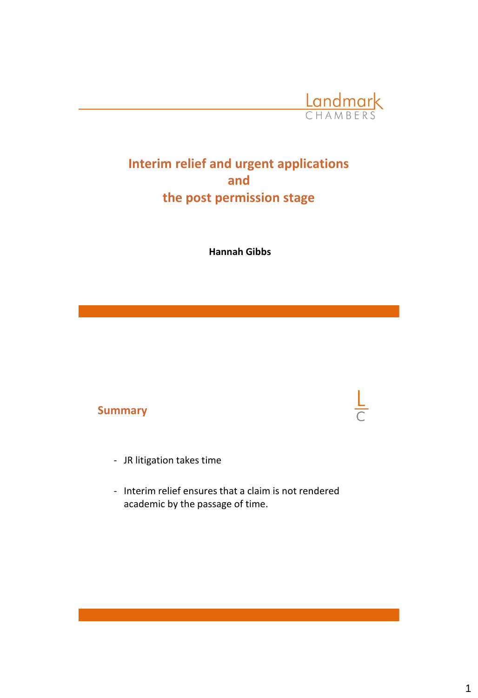

## **Interim relief and urgent applications and the post permission stage**

**Hannah Gibbs**

#### **Summary**

- JR litigation takes time
- Interim relief ensures that a claim is not rendered academic by the passage of time.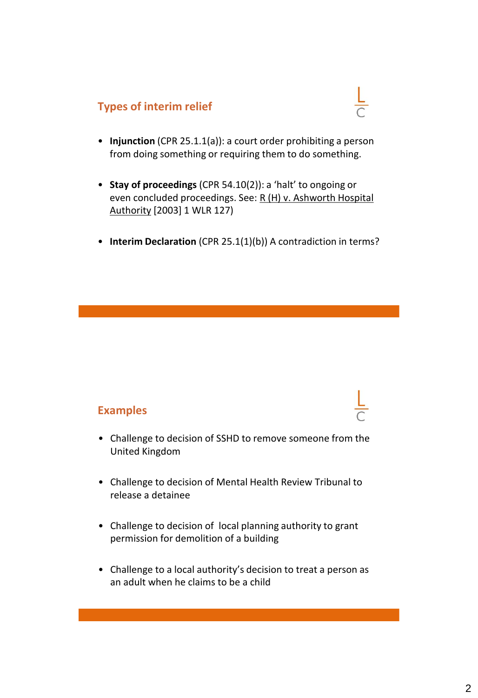## **Types of interim relief**



- **Injunction** (CPR 25.1.1(a)): a court order prohibiting a person from doing something or requiring them to do something.
- **Stay of proceedings** (CPR 54.10(2)): a 'halt' to ongoing or even concluded proceedings. See: R (H) v. Ashworth Hospital Authority [2003] 1 WLR 127)
- **Interim Declaration** (CPR 25.1(1)(b)) A contradiction in terms?

### **Examples**

- Challenge to decision of SSHD to remove someone from the United Kingdom
- Challenge to decision of Mental Health Review Tribunal to release a detainee
- Challenge to decision of local planning authority to grant permission for demolition of a building
- Challenge to a local authority's decision to treat a person as an adult when he claims to be a child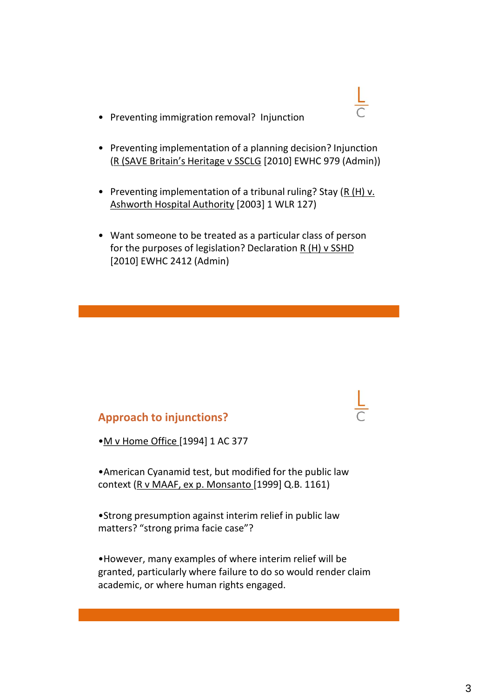- Preventing immigration removal? Injunction
- Preventing implementation of a planning decision? Injunction (R (SAVE Britain's Heritage v SSCLG [2010] EWHC 979 (Admin))
- Preventing implementation of a tribunal ruling? Stay  $(R(H) v.$ Ashworth Hospital Authority [2003] 1 WLR 127)
- Want someone to be treated as a particular class of person for the purposes of legislation? Declaration R (H) v SSHD [2010] EWHC 2412 (Admin)

### **Approach to injunctions?**

•M v Home Office [1994] 1 AC 377

•American Cyanamid test, but modified for the public law context (R v MAAF, ex p. Monsanto [1999] Q.B. 1161)

•Strong presumption against interim relief in public law matters? "strong prima facie case"?

•However, many examples of where interim relief will be granted, particularly where failure to do so would render claim academic, or where human rights engaged.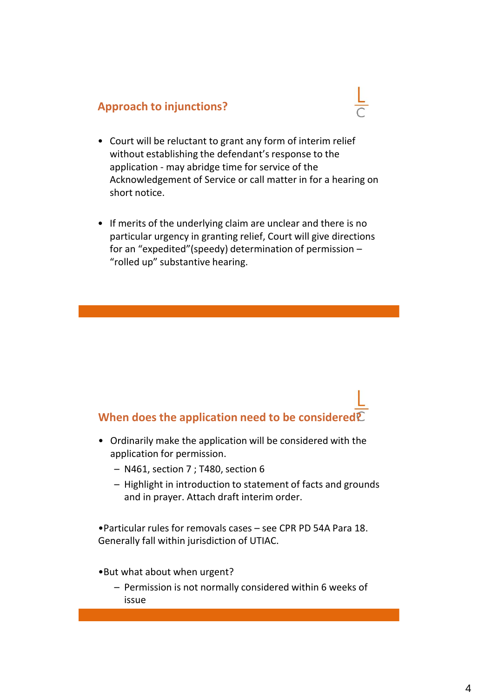## **Approach to injunctions?**

- Court will be reluctant to grant any form of interim relief without establishing the defendant's response to the application - may abridge time for service of the Acknowledgement of Service or call matter in for a hearing on short notice.
- If merits of the underlying claim are unclear and there is no particular urgency in granting relief, Court will give directions for an "expedited"(speedy) determination of permission – "rolled up" substantive hearing.

# **When does the application need to be considered?**

- Ordinarily make the application will be considered with the application for permission.
	- N461, section 7 ; T480, section 6
	- Highlight in introduction to statement of facts and grounds and in prayer. Attach draft interim order.

•Particular rules for removals cases – see CPR PD 54A Para 18. Generally fall within jurisdiction of UTIAC.

- •But what about when urgent?
	- Permission is not normally considered within 6 weeks of issue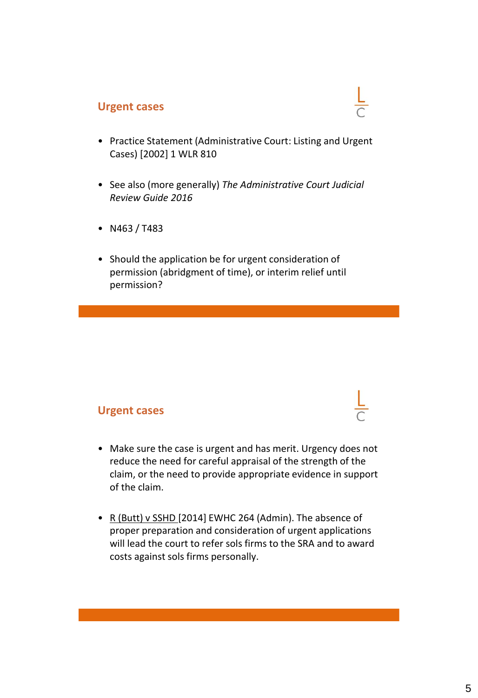### **Urgent cases**

- Practice Statement (Administrative Court: Listing and Urgent Cases) [2002] 1 WLR 810
- See also (more generally) *The Administrative Court Judicial Review Guide 2016*
- N463 / T483
- Should the application be for urgent consideration of permission (abridgment of time), or interim relief until permission?

### **Urgent cases**

- Make sure the case is urgent and has merit. Urgency does not reduce the need for careful appraisal of the strength of the claim, or the need to provide appropriate evidence in support of the claim.
- R (Butt) v SSHD [2014] EWHC 264 (Admin). The absence of proper preparation and consideration of urgent applications will lead the court to refer sols firms to the SRA and to award costs against sols firms personally.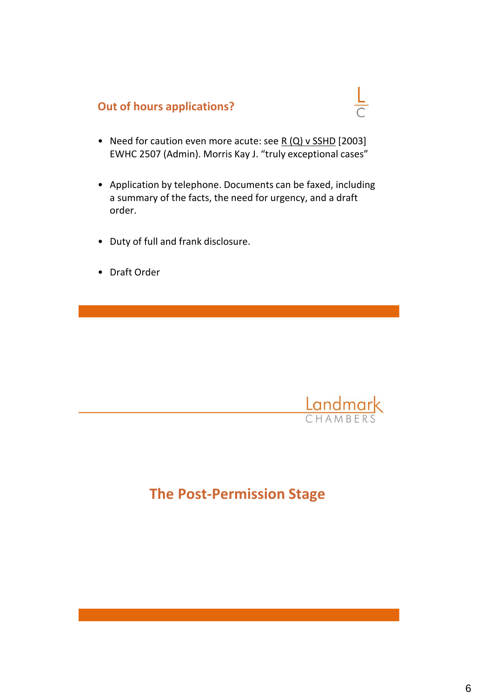## **Out of hours applications?**

- Need for caution even more acute: see R (Q) v SSHD [2003] EWHC 2507 (Admin). Morris Kay J. "truly exceptional cases"
- Application by telephone. Documents can be faxed, including a summary of the facts, the need for urgency, and a draft order.
- Duty of full and frank disclosure.
- Draft Order



 $\frac{L}{C}$ 

# **The Post-Permission Stage**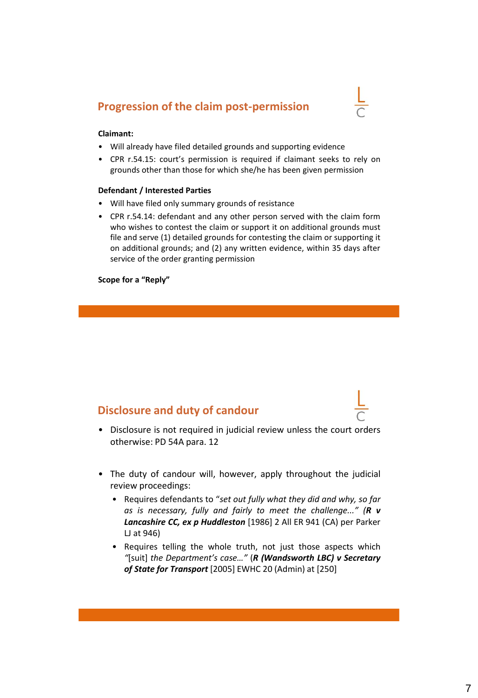### **Progression of the claim post-permission**



#### **Claimant:**

- Will already have filed detailed grounds and supporting evidence
- CPR r.54.15: court's permission is required if claimant seeks to rely on grounds other than those for which she/he has been given permission

#### **Defendant / Interested Parties**

- Will have filed only summary grounds of resistance
- CPR r.54.14: defendant and any other person served with the claim form who wishes to contest the claim or support it on additional grounds must file and serve (1) detailed grounds for contesting the claim or supporting it on additional grounds; and (2) any written evidence, within 35 days after service of the order granting permission

**Scope for a "Reply"**

### **Disclosure and duty of candour**

- Disclosure is not required in judicial review unless the court orders otherwise: PD 54A para. 12
- The duty of candour will, however, apply throughout the judicial review proceedings:
	- Requires defendants to "*set out fully what they did and why, so far as is necessary, fully and fairly to meet the challenge..." (R v Lancashire CC, ex p Huddleston* [1986] 2 All ER 941 (CA) per Parker LJ at 946)
	- Requires telling the whole truth, not just those aspects which *"*[suit] *the Department's case…"* (*R (Wandsworth LBC) v Secretary of State for Transport* [2005] EWHC 20 (Admin) at [250]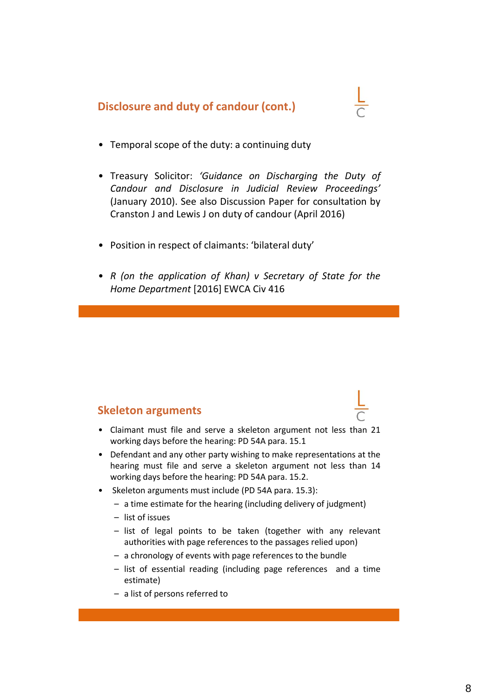**Disclosure and duty of candour (cont.)**

- 
- Temporal scope of the duty: a continuing duty
- Treasury Solicitor: *'Guidance on Discharging the Duty of Candour and Disclosure in Judicial Review Proceedings'* (January 2010). See also Discussion Paper for consultation by Cranston J and Lewis J on duty of candour (April 2016)
- Position in respect of claimants: 'bilateral duty'
- *R (on the application of Khan) v Secretary of State for the Home Department* [2016] EWCA Civ 416

### **Skeleton arguments**

- Claimant must file and serve a skeleton argument not less than 21 working days before the hearing: PD 54A para. 15.1
- Defendant and any other party wishing to make representations at the hearing must file and serve a skeleton argument not less than 14 working days before the hearing: PD 54A para. 15.2.
- Skeleton arguments must include (PD 54A para. 15.3):
	- a time estimate for the hearing (including delivery of judgment)
	- list of issues
	- list of legal points to be taken (together with any relevant authorities with page references to the passages relied upon)
	- a chronology of events with page references to the bundle
	- list of essential reading (including page references and a time estimate)
	- a list of persons referred to